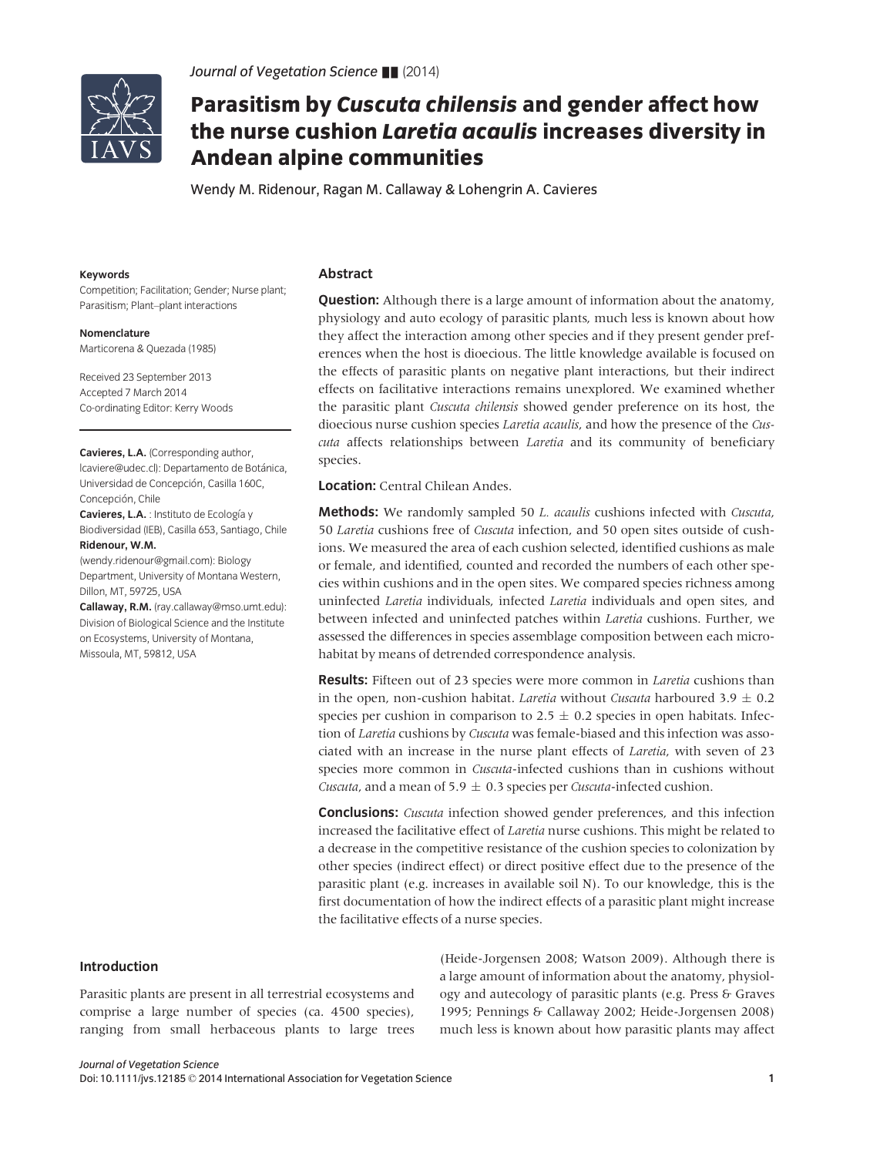

Journal of Vegetation Science  $\blacksquare$  (2014)

# Parasitism by Cuscuta chilensis and gender affect how the nurse cushion Laretia acaulis increases diversity in Andean alpine communities

Wendy M. Ridenour, Ragan M. Callaway & Lohengrin A. Cavieres

### Keywords

Competition; Facilitation; Gender; Nurse plant; Parasitism; Plant–plant interactions

Nomenclature Marticorena & Quezada (1985)

Received 23 September 2013 Accepted 7 March 2014 Co-ordinating Editor: Kerry Woods

Cavieres, L.A. (Corresponding author, lcaviere@udec.cl): Departamento de Botánica, Universidad de Concepción, Casilla 160C, Concepción, Chile

Cavieres, L.A. : Instituto de Ecología y Biodiversidad (IEB), Casilla 653, Santiago, Chile Ridenour, W.M.

(wendy.ridenour@gmail.com): Biology Department, University of Montana Western, Dillon, MT, 59725, USA

Callaway, R.M. (ray.callaway@mso.umt.edu): Division of Biological Science and the Institute on Ecosystems, University of Montana, Missoula, MT, 59812, USA

# Abstract

**Question:** Although there is a large amount of information about the anatomy, physiology and auto ecology of parasitic plants, much less is known about how they affect the interaction among other species and if they present gender preferences when the host is dioecious. The little knowledge available is focused on the effects of parasitic plants on negative plant interactions, but their indirect effects on facilitative interactions remains unexplored. We examined whether the parasitic plant Cuscuta chilensis showed gender preference on its host, the dioecious nurse cushion species Laretia acaulis, and how the presence of the Cuscuta affects relationships between Laretia and its community of beneficiary species.

Location: Central Chilean Andes.

Methods: We randomly sampled 50 L. acaulis cushions infected with Cuscuta, 50 Laretia cushions free of Cuscuta infection, and 50 open sites outside of cushions. We measured the area of each cushion selected, identified cushions as male or female, and identified, counted and recorded the numbers of each other species within cushions and in the open sites. We compared species richness among uninfected Laretia individuals, infected Laretia individuals and open sites, and between infected and uninfected patches within Laretia cushions. Further, we assessed the differences in species assemblage composition between each microhabitat by means of detrended correspondence analysis.

Results: Fifteen out of 23 species were more common in *Laretia* cushions than in the open, non-cushion habitat. Laretia without Cuscuta harboured  $3.9 \pm 0.2$ species per cushion in comparison to  $2.5 \pm 0.2$  species in open habitats. Infection of Laretia cushions by Cuscuta was female-biased and this infection was associated with an increase in the nurse plant effects of Laretia, with seven of 23 species more common in Cuscuta-infected cushions than in cushions without Cuscuta, and a mean of 5.9  $\pm$  0.3 species per Cuscuta-infected cushion.

**Conclusions:** *Cuscuta* infection showed gender preferences, and this infection increased the facilitative effect of Laretia nurse cushions. This might be related to a decrease in the competitive resistance of the cushion species to colonization by other species (indirect effect) or direct positive effect due to the presence of the parasitic plant (e.g. increases in available soil N). To our knowledge, this is the first documentation of how the indirect effects of a parasitic plant might increase the facilitative effects of a nurse species.

# Introduction

Parasitic plants are present in all terrestrial ecosystems and comprise a large number of species (ca. 4500 species), ranging from small herbaceous plants to large trees

(Heide-Jorgensen 2008; Watson 2009). Although there is a large amount of information about the anatomy, physiology and autecology of parasitic plants (e.g. Press & Graves 1995; Pennings & Callaway 2002; Heide-Jorgensen 2008) much less is known about how parasitic plants may affect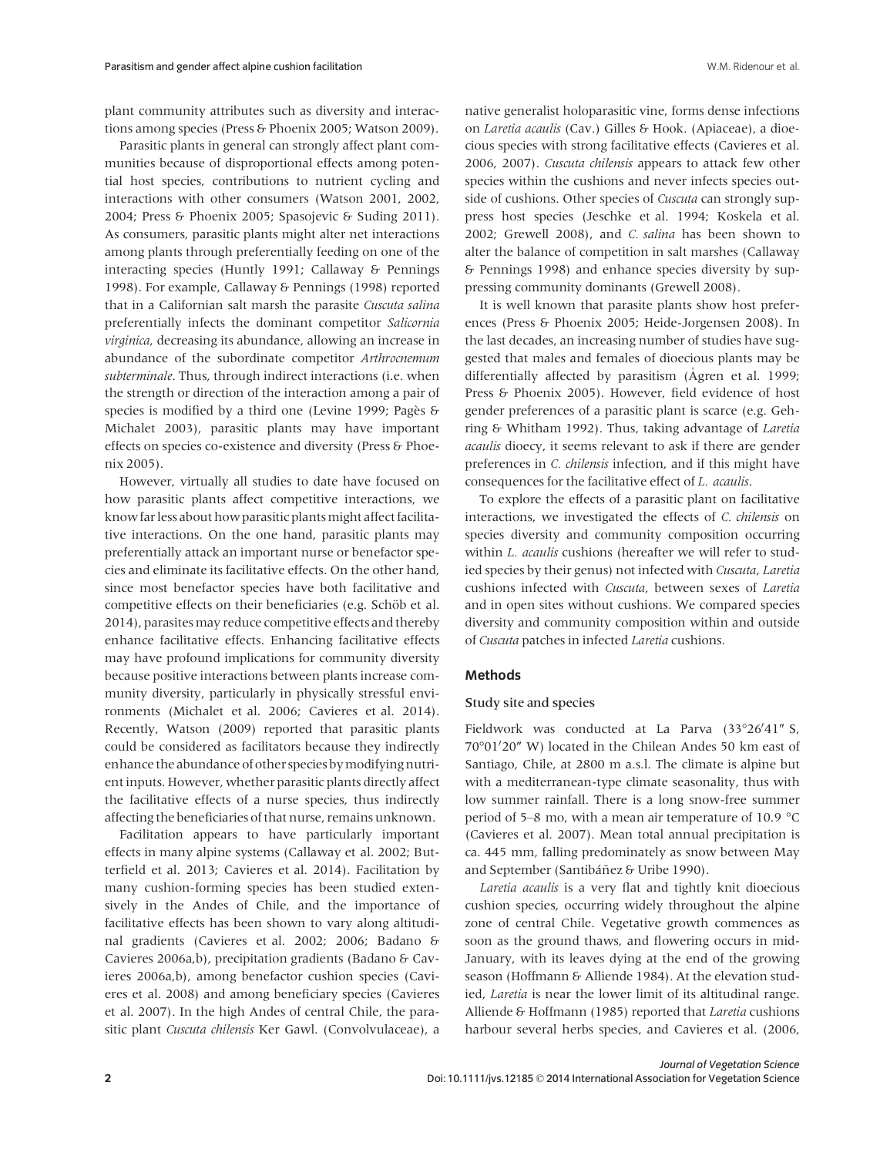plant community attributes such as diversity and interactions among species (Press & Phoenix 2005; Watson 2009).

Parasitic plants in general can strongly affect plant communities because of disproportional effects among potential host species, contributions to nutrient cycling and interactions with other consumers (Watson 2001, 2002, 2004; Press & Phoenix 2005; Spasojevic & Suding 2011). As consumers, parasitic plants might alter net interactions among plants through preferentially feeding on one of the interacting species (Huntly 1991; Callaway & Pennings 1998). For example, Callaway & Pennings (1998) reported that in a Californian salt marsh the parasite Cuscuta salina preferentially infects the dominant competitor Salicornia virginica, decreasing its abundance, allowing an increase in abundance of the subordinate competitor Arthrocnemum subterminale. Thus, through indirect interactions (i.e. when the strength or direction of the interaction among a pair of species is modified by a third one (Levine 1999; Pagès & Michalet 2003), parasitic plants may have important effects on species co-existence and diversity (Press & Phoenix 2005).

However, virtually all studies to date have focused on how parasitic plants affect competitive interactions, we know far less about how parasitic plants might affect facilitative interactions. On the one hand, parasitic plants may preferentially attack an important nurse or benefactor species and eliminate its facilitative effects. On the other hand, since most benefactor species have both facilitative and competitive effects on their beneficiaries (e.g. Schöb et al. 2014), parasites may reduce competitive effects and thereby enhance facilitative effects. Enhancing facilitative effects may have profound implications for community diversity because positive interactions between plants increase community diversity, particularly in physically stressful environments (Michalet et al. 2006; Cavieres et al. 2014). Recently, Watson (2009) reported that parasitic plants could be considered as facilitators because they indirectly enhance the abundance of other species bymodifying nutrient inputs. However, whether parasitic plants directly affect the facilitative effects of a nurse species, thus indirectly affecting the beneficiaries of that nurse, remains unknown.

Facilitation appears to have particularly important effects in many alpine systems (Callaway et al. 2002; Butterfield et al. 2013; Cavieres et al. 2014). Facilitation by many cushion-forming species has been studied extensively in the Andes of Chile, and the importance of facilitative effects has been shown to vary along altitudinal gradients (Cavieres et al. 2002; 2006; Badano & Cavieres 2006a,b), precipitation gradients (Badano & Cavieres 2006a,b), among benefactor cushion species (Cavieres et al. 2008) and among beneficiary species (Cavieres et al. 2007). In the high Andes of central Chile, the parasitic plant Cuscuta chilensis Ker Gawl. (Convolvulaceae), a

native generalist holoparasitic vine, forms dense infections on Laretia acaulis (Cav.) Gilles & Hook. (Apiaceae), a dioecious species with strong facilitative effects (Cavieres et al. 2006, 2007). Cuscuta chilensis appears to attack few other species within the cushions and never infects species outside of cushions. Other species of *Cuscuta* can strongly suppress host species (Jeschke et al. 1994; Koskela et al. 2002; Grewell 2008), and C. salina has been shown to alter the balance of competition in salt marshes (Callaway & Pennings 1998) and enhance species diversity by suppressing community dominants (Grewell 2008).

It is well known that parasite plants show host preferences (Press & Phoenix 2005; Heide-Jorgensen 2008). In the last decades, an increasing number of studies have suggested that males and females of dioecious plants may be differentially affected by parasitism (Agren et al. 1999; Press & Phoenix 2005). However, field evidence of host gender preferences of a parasitic plant is scarce (e.g. Gehring & Whitham 1992). Thus, taking advantage of Laretia acaulis dioecy, it seems relevant to ask if there are gender preferences in C. chilensis infection, and if this might have consequences for the facilitative effect of L. acaulis.

To explore the effects of a parasitic plant on facilitative interactions, we investigated the effects of C. chilensis on species diversity and community composition occurring within *L. acaulis* cushions (hereafter we will refer to studied species by their genus) not infected with Cuscuta, Laretia cushions infected with Cuscuta, between sexes of Laretia and in open sites without cushions. We compared species diversity and community composition within and outside of Cuscuta patches in infected Laretia cushions.

## Methods

#### Study site and species

Fieldwork was conducted at La Parva (33°26'41" S, 70°01'20" W) located in the Chilean Andes 50 km east of Santiago, Chile, at 2800 m a.s.l. The climate is alpine but with a mediterranean-type climate seasonality, thus with low summer rainfall. There is a long snow-free summer period of 5–8 mo, with a mean air temperature of 10.9 °C (Cavieres et al. 2007). Mean total annual precipitation is ca. 445 mm, falling predominately as snow between May and September (Santibáñez & Uribe 1990).

Laretia acaulis is a very flat and tightly knit dioecious cushion species, occurring widely throughout the alpine zone of central Chile. Vegetative growth commences as soon as the ground thaws, and flowering occurs in mid-January, with its leaves dying at the end of the growing season (Hoffmann & Alliende 1984). At the elevation studied, Laretia is near the lower limit of its altitudinal range. Alliende & Hoffmann (1985) reported that Laretia cushions harbour several herbs species, and Cavieres et al. (2006,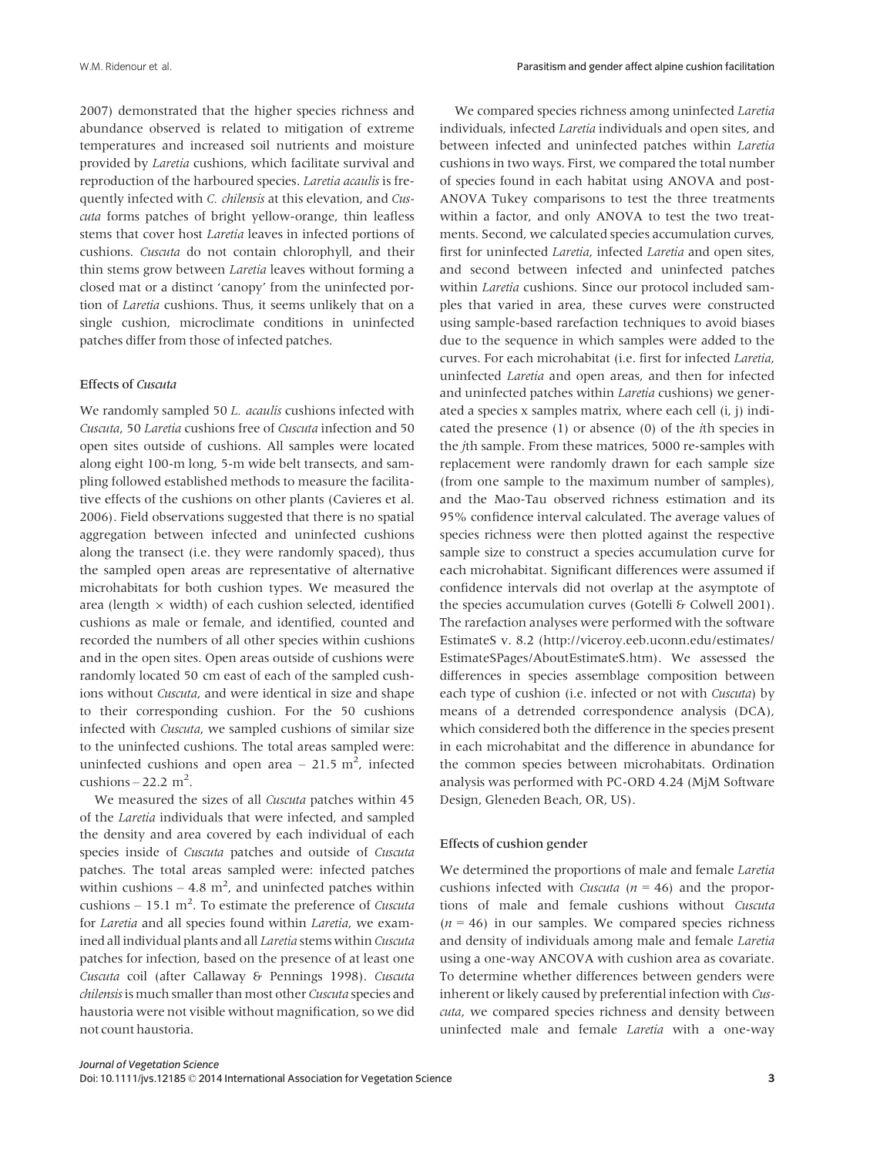2007) demonstrated that the higher species richness and abundance observed is related to mitigation of extreme temperatures and increased soil nutrients and moisture provided by Laretia cushions, which facilitate survival and reproduction of the harboured species. Laretia acaulis is frequently infected with C. chilensis at this elevation, and Cuscuta forms patches of bright yellow-orange, thin leafless stems that cover host Laretia leaves in infected portions of cushions. Cuscuta do not contain chlorophyll, and their thin stems grow between Laretia leaves without forming a closed mat or a distinct 'canopy' from the uninfected portion of Laretia cushions. Thus, it seems unlikely that on a single cushion, microclimate conditions in uninfected patches differ from those of infected patches.

#### Effects of Cuscuta

We randomly sampled 50 L. acaulis cushions infected with Cuscuta, 50 Laretia cushions free of Cuscuta infection and 50 open sites outside of cushions. All samples were located along eight 100-m long, 5-m wide belt transects, and sampling followed established methods to measure the facilitative effects of the cushions on other plants (Cavieres et al. 2006). Field observations suggested that there is no spatial aggregation between infected and uninfected cushions along the transect (i.e. they were randomly spaced), thus the sampled open areas are representative of alternative microhabitats for both cushion types. We measured the area (length  $\times$  width) of each cushion selected, identified cushions as male or female, and identified, counted and recorded the numbers of all other species within cushions and in the open sites. Open areas outside of cushions were randomly located 50 cm east of each of the sampled cushions without Cuscuta, and were identical in size and shape to their corresponding cushion. For the 50 cushions infected with Cuscuta, we sampled cushions of similar size to the uninfected cushions. The total areas sampled were: uninfected cushions and open area  $-21.5 \text{ m}^2$ , infected cushions  $-22.2 \text{ m}^2$ .

We measured the sizes of all Cuscuta patches within 45 of the Laretia individuals that were infected, and sampled the density and area covered by each individual of each species inside of Cuscuta patches and outside of Cuscuta patches. The total areas sampled were: infected patches within cushions  $-4.8 \text{ m}^2$ , and uninfected patches within cushions  $-15.1 \text{ m}^2$ . To estimate the preference of *Cuscuta* for Laretia and all species found within Laretia, we examined all individual plants and all Laretia stems within Cuscuta patches for infection, based on the presence of at least one Cuscuta coil (after Callaway & Pennings 1998). Cuscuta chilensis is much smaller than most other Cuscuta species and haustoria were not visible without magnification, so we did not count haustoria.

We compared species richness among uninfected Laretia individuals, infected Laretia individuals and open sites, and between infected and uninfected patches within Laretia cushions in two ways. First, we compared the total number of species found in each habitat using ANOVA and post-ANOVA Tukey comparisons to test the three treatments within a factor, and only ANOVA to test the two treatments. Second, we calculated species accumulation curves, first for uninfected Laretia, infected Laretia and open sites, and second between infected and uninfected patches within Laretia cushions. Since our protocol included samples that varied in area, these curves were constructed using sample-based rarefaction techniques to avoid biases due to the sequence in which samples were added to the curves. For each microhabitat (i.e. first for infected Laretia, uninfected Laretia and open areas, and then for infected and uninfected patches within Laretia cushions) we generated a species x samples matrix, where each cell (i, j) indicated the presence (1) or absence (0) of the ith species in the jth sample. From these matrices, 5000 re-samples with replacement were randomly drawn for each sample size (from one sample to the maximum number of samples), and the Mao-Tau observed richness estimation and its 95% confidence interval calculated. The average values of species richness were then plotted against the respective sample size to construct a species accumulation curve for each microhabitat. Significant differences were assumed if confidence intervals did not overlap at the asymptote of the species accumulation curves (Gotelli & Colwell 2001). The rarefaction analyses were performed with the software EstimateS v. 8.2 (http://viceroy.eeb.uconn.edu/estimates/ EstimateSPages/AboutEstimateS.htm). We assessed the differences in species assemblage composition between each type of cushion (i.e. infected or not with Cuscuta) by means of a detrended correspondence analysis (DCA), which considered both the difference in the species present in each microhabitat and the difference in abundance for the common species between microhabitats. Ordination analysis was performed with PC-ORD 4.24 (MjM Software Design, Gleneden Beach, OR, US).

# Effects of cushion gender

We determined the proportions of male and female Laretia cushions infected with *Cuscuta* ( $n = 46$ ) and the proportions of male and female cushions without Cuscuta  $(n = 46)$  in our samples. We compared species richness and density of individuals among male and female Laretia using a one-way ANCOVA with cushion area as covariate. To determine whether differences between genders were inherent or likely caused by preferential infection with Cuscuta, we compared species richness and density between uninfected male and female Laretia with a one-way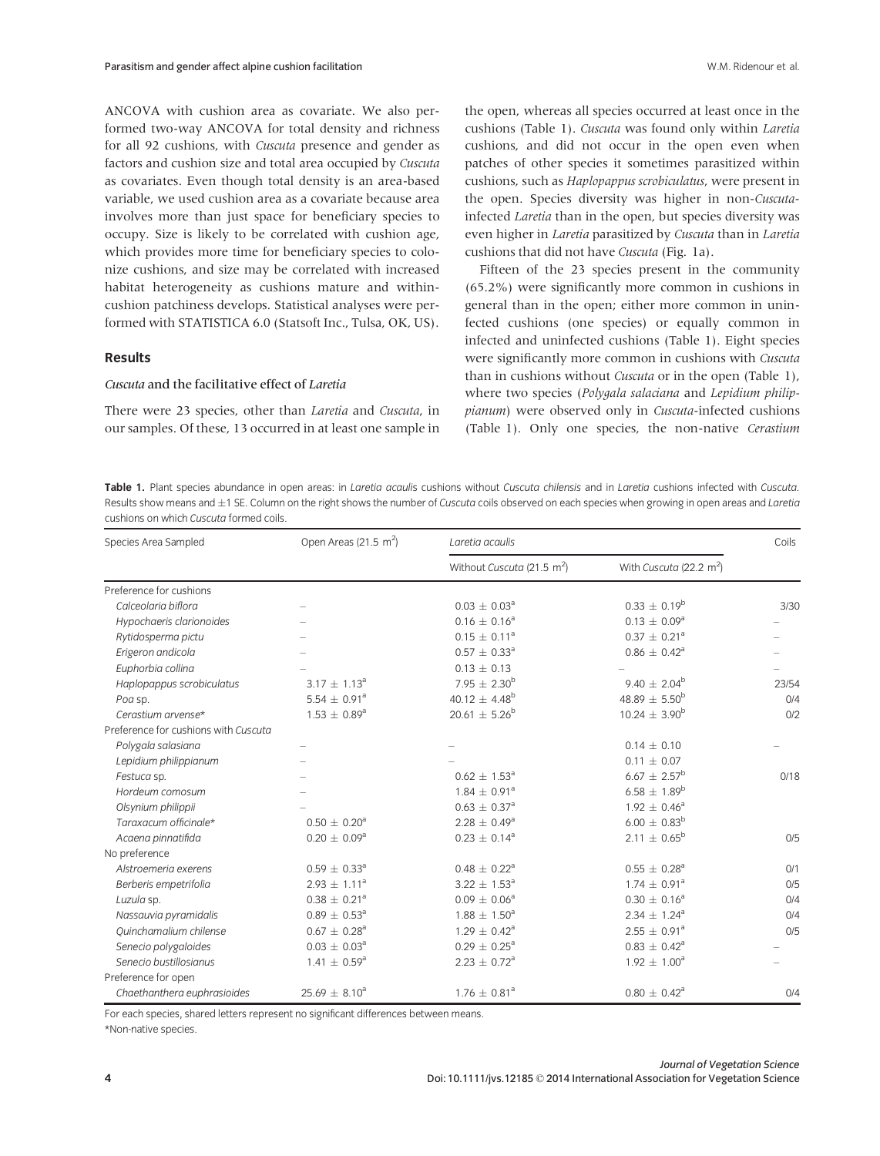ANCOVA with cushion area as covariate. We also performed two-way ANCOVA for total density and richness for all 92 cushions, with Cuscuta presence and gender as factors and cushion size and total area occupied by Cuscuta as covariates. Even though total density is an area-based variable, we used cushion area as a covariate because area involves more than just space for beneficiary species to occupy. Size is likely to be correlated with cushion age, which provides more time for beneficiary species to colonize cushions, and size may be correlated with increased habitat heterogeneity as cushions mature and withincushion patchiness develops. Statistical analyses were performed with STATISTICA 6.0 (Statsoft Inc., Tulsa, OK, US).

# Results

# Cuscuta and the facilitative effect of Laretia

There were 23 species, other than Laretia and Cuscuta, in our samples. Of these, 13 occurred in at least one sample in the open, whereas all species occurred at least once in the cushions (Table 1). Cuscuta was found only within Laretia cushions, and did not occur in the open even when patches of other species it sometimes parasitized within cushions, such as Haplopappus scrobiculatus, were present in the open. Species diversity was higher in non-Cuscutainfected Laretia than in the open, but species diversity was even higher in Laretia parasitized by Cuscuta than in Laretia cushions that did not have Cuscuta (Fig. 1a).

Fifteen of the 23 species present in the community (65.2%) were significantly more common in cushions in general than in the open; either more common in uninfected cushions (one species) or equally common in infected and uninfected cushions (Table 1). Eight species were significantly more common in cushions with Cuscuta than in cushions without *Cuscuta* or in the open (Table 1), where two species (Polygala salaciana and Lepidium philippianum) were observed only in Cuscuta-infected cushions (Table 1). Only one species, the non-native Cerastium

Table 1. Plant species abundance in open areas: in Laretia acaulis cushions without Cuscuta chilensis and in Laretia cushions infected with Cuscuta. Results show means and ±1 SE. Column on the right shows the number of Cuscuta coils observed on each species when growing in open areas and Laretia cushions on which Cuscuta formed coils.

| Species Area Sampled                 | Open Areas (21.5 $\text{m}^2$ ) | Laretia acaulis                        |                                     |       |
|--------------------------------------|---------------------------------|----------------------------------------|-------------------------------------|-------|
|                                      |                                 | Without Cuscuta (21.5 m <sup>2</sup> ) | With Cuscuta (22.2 m <sup>2</sup> ) |       |
| Preference for cushions              |                                 |                                        |                                     |       |
| Calceolaria biflora                  |                                 | $0.03 \pm 0.03^a$                      | $0.33 \pm 0.19^b$                   | 3/30  |
| Hypochaeris clarionoides             |                                 | $0.16 \pm 0.16^a$                      | $0.13 \pm 0.09^a$                   |       |
| Rytidosperma pictu                   |                                 | $0.15 \pm 0.11^a$                      | $0.37 \pm 0.21^a$                   |       |
| Erigeron andicola                    |                                 | $0.57 \pm 0.33$ <sup>a</sup>           | $0.86 \pm 0.42^a$                   |       |
| Euphorbia collina                    |                                 | $0.13 \pm 0.13$                        |                                     |       |
| Haplopappus scrobiculatus            | $3.17 \pm 1.13^a$               | $7.95 \pm 2.30^{b}$                    | $9.40 \pm 2.04^b$                   | 23/54 |
| Poa sp.                              | 5.54 $\pm$ 0.91 <sup>a</sup>    | $40.12 \pm 4.48^b$                     | 48.89 $\pm$ 5.50 <sup>b</sup>       | 0/4   |
| Cerastium arvense*                   | $1.53 \pm 0.89^a$               | $20.61 \pm 5.26^b$                     | $10.24 \pm 3.90^{\rm b}$            | 0/2   |
| Preference for cushions with Cuscuta |                                 |                                        |                                     |       |
| Polygala salasiana                   |                                 |                                        | $0.14 \pm 0.10$                     |       |
| Lepidium philippianum                |                                 |                                        | $0.11 \pm 0.07$                     |       |
| Festuca sp.                          |                                 | $0.62 \pm 1.53^a$                      | $6.67 \pm 2.57^b$                   | 0/18  |
| Hordeum comosum                      |                                 | $1.84 \pm 0.91^a$                      | $6.58 \pm 1.89^b$                   |       |
| Olsynium philippii                   |                                 | $0.63 \pm 0.37$ <sup>a</sup>           | $1.92 \pm 0.46^a$                   |       |
| Taraxacum officinale*                | $0.50 \pm 0.20^a$               | $2.28 \pm 0.49^a$                      | $6.00 \pm 0.83^b$                   |       |
| Acaena pinnatifida                   | $0.20 \pm 0.09^a$               | $0.23 \pm 0.14^a$                      | $2.11 \pm 0.65^b$                   | O/5   |
| No preference                        |                                 |                                        |                                     |       |
| Alstroemeria exerens                 | $0.59 \pm 0.33^a$               | $0.48 \pm 0.22^a$                      | $0.55 \pm 0.28$ <sup>a</sup>        | O/1   |
| Berberis empetrifolia                | $2.93 \pm 1.11^a$               | $3.22 \pm 1.53^a$                      | $1.74 \pm 0.91^a$                   | 0/5   |
| Luzula sp.                           | $0.38 \pm 0.21^a$               | $0.09 \pm 0.06^a$                      | $0.30 \pm 0.16^a$                   | 0/4   |
| Nassauvia pyramidalis                | $0.89 \pm 0.53^a$               | $1.88 \pm 1.50^a$                      | $2.34 \pm 1.24^a$                   | 0/4   |
| Quinchamalium chilense               | $0.67 \pm 0.28^a$               | $1.29 \pm 0.42^a$                      | $2.55 \pm 0.91^a$                   | 0/5   |
| Senecio polygaloides                 | $0.03 \pm 0.03^a$               | $0.29 \pm 0.25^{\circ}$                | $0.83 \pm 0.42^a$                   |       |
| Senecio bustillosianus               | $1.41 \pm 0.59^a$               | $2.23 \pm 0.72$ <sup>a</sup>           | $1.92 \pm 1.00^a$                   |       |
| Preference for open                  |                                 |                                        |                                     |       |
| Chaethanthera euphrasioides          | $25.69 \pm 8.10^a$              | $1.76 \pm 0.81^a$                      | $0.80 \pm 0.42^a$                   | 0/4   |

For each species, shared letters represent no significant differences between means.

\*Non-native species.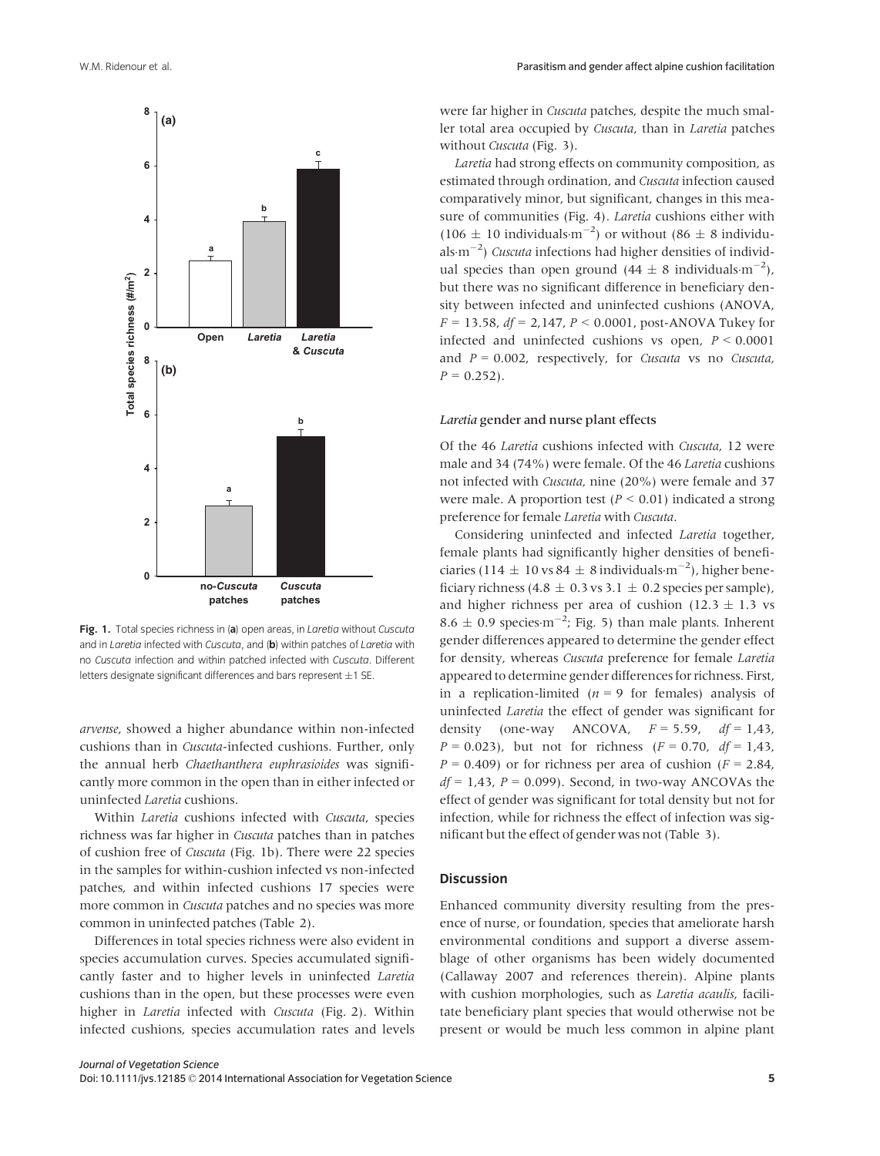

Fig. 1. Total species richness in (a) open areas, in Laretia without Cuscuta and in Laretia infected with Cuscuta, and (b) within patches of Laretia with no Cuscuta infection and within patched infected with Cuscuta. Different letters designate significant differences and bars represent  $\pm 1$  SE.

arvense, showed a higher abundance within non-infected cushions than in Cuscuta-infected cushions. Further, only the annual herb Chaethanthera euphrasioides was significantly more common in the open than in either infected or uninfected Laretia cushions.

Within Laretia cushions infected with Cuscuta, species richness was far higher in Cuscuta patches than in patches of cushion free of Cuscuta (Fig. 1b). There were 22 species in the samples for within-cushion infected vs non-infected patches, and within infected cushions 17 species were more common in Cuscuta patches and no species was more common in uninfected patches (Table 2).

Differences in total species richness were also evident in species accumulation curves. Species accumulated significantly faster and to higher levels in uninfected Laretia cushions than in the open, but these processes were even higher in Laretia infected with Cuscuta (Fig. 2). Within infected cushions, species accumulation rates and levels

were far higher in Cuscuta patches, despite the much smaller total area occupied by Cuscuta, than in Laretia patches without Cuscuta (Fig. 3).

Laretia had strong effects on community composition, as estimated through ordination, and Cuscuta infection caused comparatively minor, but significant, changes in this measure of communities (Fig. 4). Laretia cushions either with  $(106 \pm 10 \text{ individuals} \cdot \text{m}^{-2})$  or without  $(86 \pm 8 \text{ individuals})$ als $\cdot$ m<sup>-2</sup>) Cuscuta infections had higher densities of individual species than open ground  $(44 \pm 8 \text{ individuals} \cdot \text{m}^{-2})$ , but there was no significant difference in beneficiary density between infected and uninfected cushions (ANOVA,  $F = 13.58$ ,  $df = 2,147$ ,  $P < 0.0001$ , post-ANOVA Tukey for infected and uninfected cushions vs open,  $P < 0.0001$ and  $P = 0.002$ , respectively, for Cuscuta vs no Cuscuta,  $P = 0.252$ .

### Laretia gender and nurse plant effects

Of the 46 Laretia cushions infected with Cuscuta, 12 were male and 34 (74%) were female. Of the 46 Laretia cushions not infected with Cuscuta, nine (20%) were female and 37 were male. A proportion test ( $P \le 0.01$ ) indicated a strong preference for female Laretia with Cuscuta.

Considering uninfected and infected Laretia together, female plants had significantly higher densities of beneficiaries (114  $\pm$  10 vs 84  $\pm$  8 individuals $\cdot$ m<sup>-2</sup>), higher beneficiary richness (4.8  $\pm$  0.3 vs 3.1  $\pm$  0.2 species per sample), and higher richness per area of cushion (12.3  $\pm$  1.3 vs  $8.6 \pm 0.9$  species  $m^{-2}$ ; Fig. 5) than male plants. Inherent gender differences appeared to determine the gender effect for density, whereas Cuscuta preference for female Laretia appeared to determine gender differences for richness. First, in a replication-limited ( $n = 9$  for females) analysis of uninfected Laretia the effect of gender was significant for density (one-way ANCOVA,  $F = 5.59$ ,  $df = 1.43$ ,  $P = 0.023$ ), but not for richness ( $F = 0.70$ ,  $df = 1.43$ ,  $P = 0.409$ ) or for richness per area of cushion ( $F = 2.84$ ,  $df = 1.43$ ,  $P = 0.099$ ). Second, in two-way ANCOVAs the effect of gender was significant for total density but not for infection, while for richness the effect of infection was significant but the effect of gender was not (Table 3).

#### **Discussion**

Enhanced community diversity resulting from the presence of nurse, or foundation, species that ameliorate harsh environmental conditions and support a diverse assemblage of other organisms has been widely documented (Callaway 2007 and references therein). Alpine plants with cushion morphologies, such as Laretia acaulis, facilitate beneficiary plant species that would otherwise not be present or would be much less common in alpine plant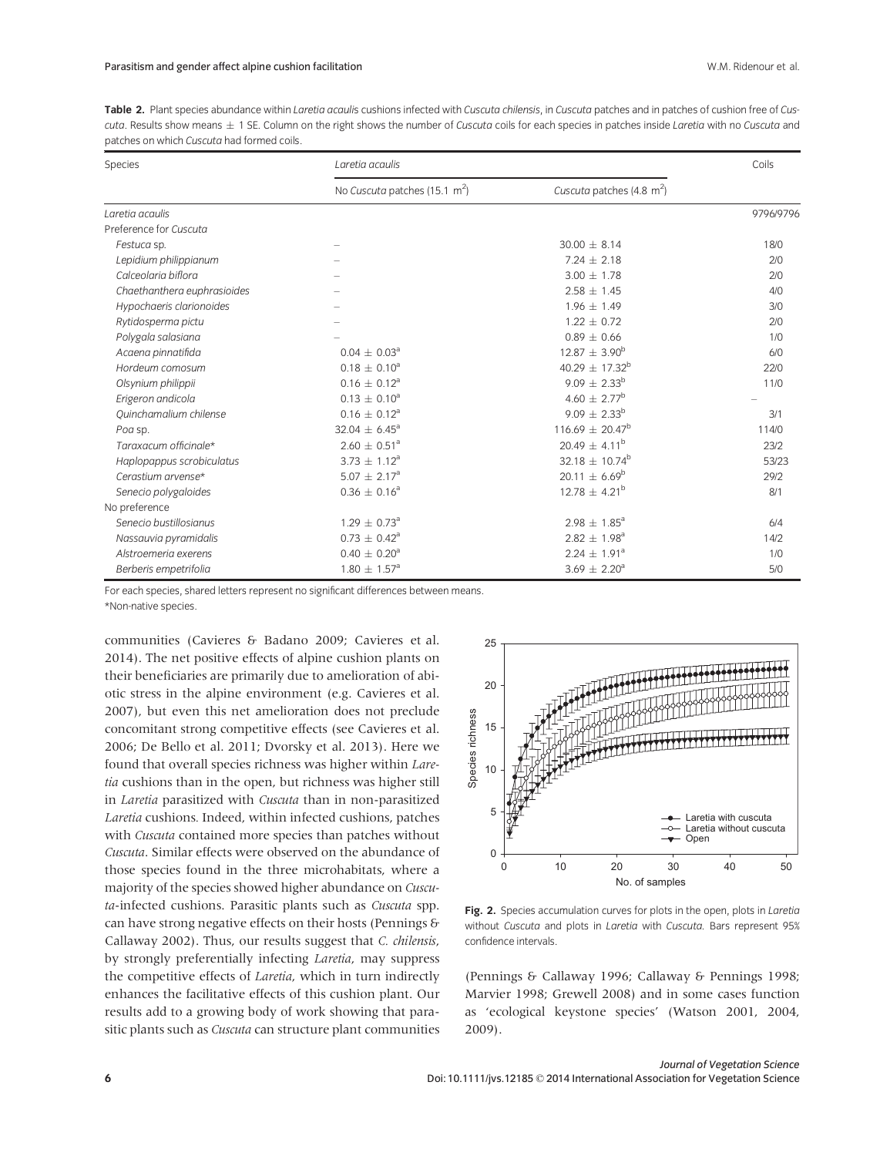Table 2. Plant species abundance within Laretia acaulis cushions infected with Cuscuta chilensis, in Cuscuta patches and in patches of cushion free of Cuscuta. Results show means  $\pm$  1 SE. Column on the right shows the number of Cuscuta coils for each species in patches inside Laretia with no Cuscuta and patches on which Cuscuta had formed coils.

| Species                     | Laretia acaulis                           | Coils                                 |           |  |
|-----------------------------|-------------------------------------------|---------------------------------------|-----------|--|
|                             | No Cuscuta patches (15.1 m <sup>2</sup> ) | Cuscuta patches (4.8 m <sup>2</sup> ) |           |  |
| Laretia acaulis             |                                           |                                       | 9796/9796 |  |
| Preference for Cuscuta      |                                           |                                       |           |  |
| Festuca sp.                 |                                           | $30.00 \pm 8.14$                      | 18/0      |  |
| Lepidium philippianum       |                                           | $7.24 + 2.18$                         | 2/0       |  |
| Calceolaria biflora         |                                           | $3.00 \pm 1.78$                       | 2/0       |  |
| Chaethanthera euphrasioides |                                           | $2.58 \pm 1.45$                       | 4/0       |  |
| Hypochaeris clarionoides    |                                           | $1.96 \pm 1.49$                       | 3/0       |  |
| Rytidosperma pictu          |                                           | $1.22 \pm 0.72$                       | 2/0       |  |
| Polygala salasiana          |                                           | $0.89 \pm 0.66$                       | 1/0       |  |
| Acaena pinnatifida          | $0.04 \pm 0.03^a$                         | $12.87 \pm 3.90^b$                    | 6/0       |  |
| Hordeum comosum             | $0.18 \pm 0.10^a$                         | $40.29 \pm 17.32^b$                   | 22/0      |  |
| Olsynium philippii          | $0.16 \pm 0.12^a$                         | $9.09 \pm 2.33^{b}$                   | 11/0      |  |
| Erigeron andicola           | $0.13 \pm 0.10^a$                         | $4.60 \pm 2.77^b$                     |           |  |
| Quinchamalium chilense      | $0.16 \pm 0.12^a$                         | $9.09 \pm 2.33^{b}$                   | 3/1       |  |
| Poa sp.                     | 32.04 $\pm$ 6.45 <sup>a</sup>             | $116.69 \pm 20.47^b$                  | 114/0     |  |
| Taraxacum officinale*       | $2.60 \pm 0.51$ <sup>a</sup>              | $20.49 \pm 4.11^b$                    | 23/2      |  |
| Haplopappus scrobiculatus   | $3.73 \pm 1.12^a$                         | $32.18 \pm 10.74^b$                   | 53/23     |  |
| Cerastium arvense*          | $5.07 \pm 2.17^a$                         | $20.11 \pm 6.69^b$                    | 29/2      |  |
| Senecio polygaloides        | $0.36 \pm 0.16^a$                         | $12.78 \pm 4.21^b$                    | 8/1       |  |
| No preference               |                                           |                                       |           |  |
| Senecio bustillosianus      | $1.29 \pm 0.73^a$                         | $2.98 \pm 1.85^a$                     | 6/4       |  |
| Nassauvia pyramidalis       | $0.73 \pm 0.42^a$                         | $2.82 \pm 1.98^a$                     | 14/2      |  |
| Alstroemeria exerens        | $0.40 \pm 0.20^a$                         | $2.24 \pm 1.91^a$                     | 1/0       |  |
| Berberis empetrifolia       | $1.80 \pm 1.57^a$                         | $3.69 \pm 2.20^a$                     | 5/0       |  |

For each species, shared letters represent no significant differences between means.

\*Non-native species.

communities (Cavieres & Badano 2009; Cavieres et al. 2014). The net positive effects of alpine cushion plants on their beneficiaries are primarily due to amelioration of abiotic stress in the alpine environment (e.g. Cavieres et al. 2007), but even this net amelioration does not preclude concomitant strong competitive effects (see Cavieres et al. 2006; De Bello et al. 2011; Dvorsky et al. 2013). Here we found that overall species richness was higher within Laretia cushions than in the open, but richness was higher still in Laretia parasitized with Cuscuta than in non-parasitized Laretia cushions. Indeed, within infected cushions, patches with Cuscuta contained more species than patches without Cuscuta. Similar effects were observed on the abundance of those species found in the three microhabitats, where a majority of the species showed higher abundance on Cuscuta-infected cushions. Parasitic plants such as Cuscuta spp. can have strong negative effects on their hosts (Pennings & Callaway 2002). Thus, our results suggest that C. chilensis, by strongly preferentially infecting Laretia, may suppress the competitive effects of Laretia, which in turn indirectly enhances the facilitative effects of this cushion plant. Our results add to a growing body of work showing that parasitic plants such as Cuscuta can structure plant communities



Fig. 2. Species accumulation curves for plots in the open, plots in Laretia without Cuscuta and plots in Laretia with Cuscuta. Bars represent 95% confidence intervals.

(Pennings & Callaway 1996; Callaway & Pennings 1998; Marvier 1998; Grewell 2008) and in some cases function as 'ecological keystone species' (Watson 2001, 2004, 2009).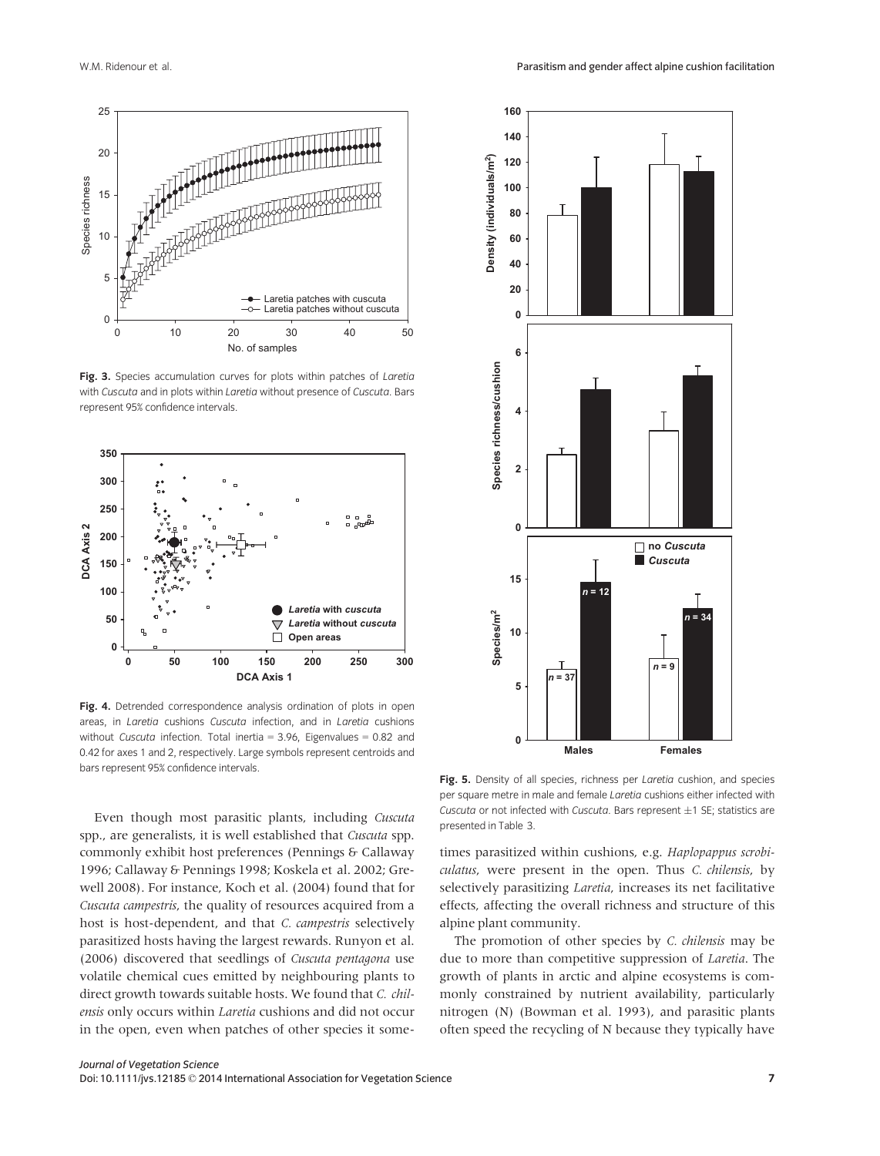

Fig. 3. Species accumulation curves for plots within patches of Laretia with Cuscuta and in plots within Laretia without presence of Cuscuta. Bars represent 95% confidence intervals.



Fig. 4. Detrended correspondence analysis ordination of plots in open areas, in Laretia cushions Cuscuta infection, and in Laretia cushions without Cuscuta infection. Total inertia =  $3.96$ , Eigenvalues =  $0.82$  and 0.42 for axes 1 and 2, respectively. Large symbols represent centroids and bars represent 95% confidence intervals.

Even though most parasitic plants, including Cuscuta spp., are generalists, it is well established that Cuscuta spp. commonly exhibit host preferences (Pennings & Callaway 1996; Callaway & Pennings 1998; Koskela et al. 2002; Grewell 2008). For instance, Koch et al. (2004) found that for Cuscuta campestris, the quality of resources acquired from a host is host-dependent, and that C. campestris selectively parasitized hosts having the largest rewards. Runyon et al. (2006) discovered that seedlings of Cuscuta pentagona use volatile chemical cues emitted by neighbouring plants to direct growth towards suitable hosts. We found that C. chilensis only occurs within Laretia cushions and did not occur in the open, even when patches of other species it some-



Fig. 5. Density of all species, richness per Laretia cushion, and species per square metre in male and female Laretia cushions either infected with Cuscuta or not infected with Cuscuta. Bars represent  $\pm 1$  SE; statistics are presented in Table 3.

times parasitized within cushions, e.g. Haplopappus scrobiculatus, were present in the open. Thus C. chilensis, by selectively parasitizing Laretia, increases its net facilitative effects, affecting the overall richness and structure of this alpine plant community.

The promotion of other species by C. chilensis may be due to more than competitive suppression of Laretia. The growth of plants in arctic and alpine ecosystems is commonly constrained by nutrient availability, particularly nitrogen (N) (Bowman et al. 1993), and parasitic plants often speed the recycling of N because they typically have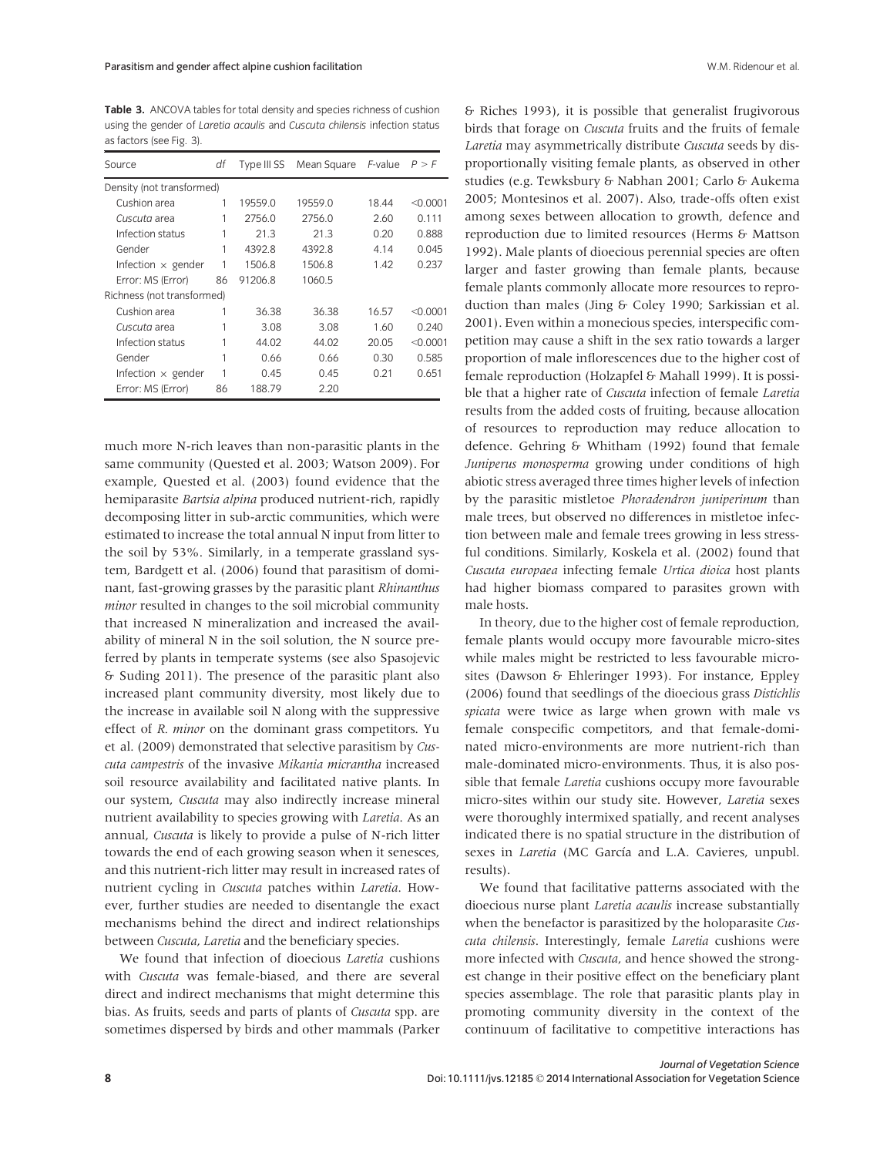Table 3. ANCOVA tables for total density and species richness of cushion using the gender of Laretia acaulis and Cuscuta chilensis infection status as factors (see Fig. 3).

| Source                     | df | Type III SS | Mean Square F-value |       | P > F    |
|----------------------------|----|-------------|---------------------|-------|----------|
| Density (not transformed)  |    |             |                     |       |          |
| Cushion area               | 1  | 19559.0     | 19559.0             | 18.44 | < 0.0001 |
| Cuscuta area               | 1  | 2756.0      | 2756.0              | 2.60  | 0.111    |
| Infection status           | 1  | 21.3        | 21.3                | 0.20  | 0.888    |
| Gender                     | 1  | 4392.8      | 4392.8              | 4 1 4 | 0.045    |
| Infection $\times$ gender  | 1  | 1506.8      | 1506.8              | 1.42  | 0.237    |
| Error: MS (Error)          | 86 | 91206.8     | 1060.5              |       |          |
| Richness (not transformed) |    |             |                     |       |          |
| Cushion area               | 1  | 36.38       | 36.38               | 16.57 | < 0.0001 |
| Cuscuta area               | 1  | 3.08        | 3.08                | 1.60  | 0.240    |
| Infection status           | 1  | 44.02       | 44.02               | 20.05 | < 0.0001 |
| Gender                     | 1  | 0.66        | 0.66                | 0.30  | 0.585    |
| Infection $\times$ gender  | 1  | 0.45        | 0.45                | 0.21  | 0.651    |
| Error: MS (Error)          | 86 | 188.79      | 2.20                |       |          |

much more N-rich leaves than non-parasitic plants in the same community (Quested et al. 2003; Watson 2009). For example, Quested et al. (2003) found evidence that the hemiparasite Bartsia alpina produced nutrient-rich, rapidly decomposing litter in sub-arctic communities, which were estimated to increase the total annual N input from litter to the soil by 53%. Similarly, in a temperate grassland system, Bardgett et al. (2006) found that parasitism of dominant, fast-growing grasses by the parasitic plant Rhinanthus minor resulted in changes to the soil microbial community that increased N mineralization and increased the availability of mineral N in the soil solution, the N source preferred by plants in temperate systems (see also Spasojevic & Suding 2011). The presence of the parasitic plant also increased plant community diversity, most likely due to the increase in available soil N along with the suppressive effect of R. minor on the dominant grass competitors. Yu et al. (2009) demonstrated that selective parasitism by Cuscuta campestris of the invasive Mikania micrantha increased soil resource availability and facilitated native plants. In our system, Cuscuta may also indirectly increase mineral nutrient availability to species growing with Laretia. As an annual, Cuscuta is likely to provide a pulse of N-rich litter towards the end of each growing season when it senesces, and this nutrient-rich litter may result in increased rates of nutrient cycling in Cuscuta patches within Laretia. However, further studies are needed to disentangle the exact mechanisms behind the direct and indirect relationships between Cuscuta, Laretia and the beneficiary species.

We found that infection of dioecious *Laretia* cushions with Cuscuta was female-biased, and there are several direct and indirect mechanisms that might determine this bias. As fruits, seeds and parts of plants of Cuscuta spp. are sometimes dispersed by birds and other mammals (Parker

& Riches 1993), it is possible that generalist frugivorous birds that forage on Cuscuta fruits and the fruits of female Laretia may asymmetrically distribute Cuscuta seeds by disproportionally visiting female plants, as observed in other studies (e.g. Tewksbury & Nabhan 2001; Carlo & Aukema 2005; Montesinos et al. 2007). Also, trade-offs often exist among sexes between allocation to growth, defence and reproduction due to limited resources (Herms & Mattson 1992). Male plants of dioecious perennial species are often larger and faster growing than female plants, because female plants commonly allocate more resources to reproduction than males (Jing & Coley 1990; Sarkissian et al. 2001). Even within a monecious species, interspecific competition may cause a shift in the sex ratio towards a larger proportion of male inflorescences due to the higher cost of female reproduction (Holzapfel & Mahall 1999). It is possible that a higher rate of Cuscuta infection of female Laretia results from the added costs of fruiting, because allocation of resources to reproduction may reduce allocation to defence. Gehring & Whitham (1992) found that female Juniperus monosperma growing under conditions of high abiotic stress averaged three times higher levels of infection by the parasitic mistletoe Phoradendron juniperinum than male trees, but observed no differences in mistletoe infection between male and female trees growing in less stressful conditions. Similarly, Koskela et al. (2002) found that Cuscuta europaea infecting female Urtica dioica host plants had higher biomass compared to parasites grown with male hosts.

In theory, due to the higher cost of female reproduction, female plants would occupy more favourable micro-sites while males might be restricted to less favourable microsites (Dawson & Ehleringer 1993). For instance, Eppley (2006) found that seedlings of the dioecious grass Distichlis spicata were twice as large when grown with male vs female conspecific competitors, and that female-dominated micro-environments are more nutrient-rich than male-dominated micro-environments. Thus, it is also possible that female *Laretia* cushions occupy more favourable micro-sites within our study site. However, Laretia sexes were thoroughly intermixed spatially, and recent analyses indicated there is no spatial structure in the distribution of sexes in Laretia (MC García and L.A. Cavieres, unpubl. results).

We found that facilitative patterns associated with the dioecious nurse plant Laretia acaulis increase substantially when the benefactor is parasitized by the holoparasite Cuscuta chilensis. Interestingly, female Laretia cushions were more infected with Cuscuta, and hence showed the strongest change in their positive effect on the beneficiary plant species assemblage. The role that parasitic plants play in promoting community diversity in the context of the continuum of facilitative to competitive interactions has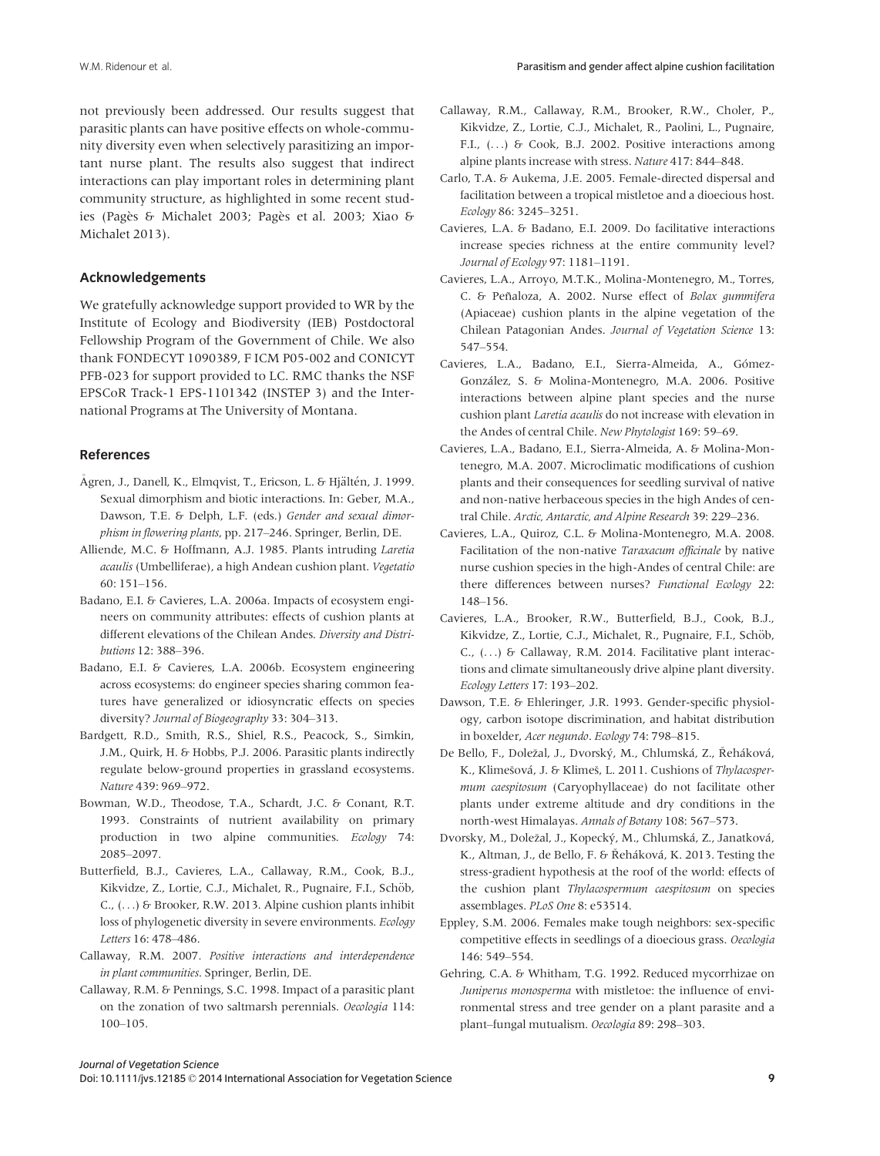not previously been addressed. Our results suggest that parasitic plants can have positive effects on whole-community diversity even when selectively parasitizing an important nurse plant. The results also suggest that indirect interactions can play important roles in determining plant community structure, as highlighted in some recent studies (Pages & Michalet 2003; Pages et al. 2003; Xiao & Michalet 2013).

# Acknowledgements

We gratefully acknowledge support provided to WR by the Institute of Ecology and Biodiversity (IEB) Postdoctoral Fellowship Program of the Government of Chile. We also thank FONDECYT 1090389, F ICM P05-002 and CONICYT PFB-023 for support provided to LC. RMC thanks the NSF EPSCoR Track-1 EPS-1101342 (INSTEP 3) and the International Programs at The University of Montana.

# References

- Ågren, J., Danell, K., Elmqvist, T., Ericson, L. & Hjältén, J. 1999. Sexual dimorphism and biotic interactions. In: Geber, M.A., Dawson, T.E. & Delph, L.F. (eds.) Gender and sexual dimorphism in flowering plants, pp. 217–246. Springer, Berlin, DE.
- Alliende, M.C. & Hoffmann, A.J. 1985. Plants intruding Laretia acaulis(Umbelliferae), a high Andean cushion plant. Vegetatio 60: 151–156.
- Badano, E.I. & Cavieres, L.A. 2006a. Impacts of ecosystem engineers on community attributes: effects of cushion plants at different elevations of the Chilean Andes. Diversity and Distributions 12: 388–396.
- Badano, E.I. & Cavieres, L.A. 2006b. Ecosystem engineering across ecosystems: do engineer species sharing common features have generalized or idiosyncratic effects on species diversity? Journal of Biogeography 33: 304–313.
- Bardgett, R.D., Smith, R.S., Shiel, R.S., Peacock, S., Simkin, J.M., Quirk, H. & Hobbs, P.J. 2006. Parasitic plants indirectly regulate below-ground properties in grassland ecosystems. Nature 439: 969–972.
- Bowman, W.D., Theodose, T.A., Schardt, J.C. & Conant, R.T. 1993. Constraints of nutrient availability on primary production in two alpine communities. Ecology 74: 2085–2097.
- Butterfield, B.J., Cavieres, L.A., Callaway, R.M., Cook, B.J., Kikvidze, Z., Lortie, C.J., Michalet, R., Pugnaire, F.I., Schöb, C., (...) & Brooker, R.W. 2013. Alpine cushion plants inhibit loss of phylogenetic diversity in severe environments. Ecology Letters 16: 478–486.
- Callaway, R.M. 2007. Positive interactions and interdependence in plant communities. Springer, Berlin, DE.
- Callaway, R.M. & Pennings, S.C. 1998. Impact of a parasitic plant on the zonation of two saltmarsh perennials. Oecologia 114: 100–105.
- Callaway, R.M., Callaway, R.M., Brooker, R.W., Choler, P., Kikvidze, Z., Lortie, C.J., Michalet, R., Paolini, L., Pugnaire, F.I., (...) & Cook, B.J. 2002. Positive interactions among alpine plants increase with stress. Nature 417: 844–848.
- Carlo, T.A. & Aukema, J.E. 2005. Female-directed dispersal and facilitation between a tropical mistletoe and a dioecious host. Ecology 86: 3245–3251.
- Cavieres, L.A. & Badano, E.I. 2009. Do facilitative interactions increase species richness at the entire community level? Journal of Ecology 97: 1181–1191.
- Cavieres, L.A., Arroyo, M.T.K., Molina-Montenegro, M., Torres, C. & Peñaloza, A. 2002. Nurse effect of Bolax gummifera (Apiaceae) cushion plants in the alpine vegetation of the Chilean Patagonian Andes. Journal of Vegetation Science 13: 547–554.
- Cavieres, L.A., Badano, E.I., Sierra-Almeida, A., Gómez-Gonzalez, S. & Molina-Montenegro, M.A. 2006. Positive interactions between alpine plant species and the nurse cushion plant Laretia acaulis do not increase with elevation in the Andes of central Chile. New Phytologist 169: 59–69.
- Cavieres, L.A., Badano, E.I., Sierra-Almeida, A. & Molina-Montenegro, M.A. 2007. Microclimatic modifications of cushion plants and their consequences for seedling survival of native and non-native herbaceous species in the high Andes of central Chile. Arctic, Antarctic, and Alpine Research 39: 229–236.
- Cavieres, L.A., Quiroz, C.L. & Molina-Montenegro, M.A. 2008. Facilitation of the non-native Taraxacum officinale by native nurse cushion species in the high-Andes of central Chile: are there differences between nurses? Functional Ecology 22: 148–156.
- Cavieres, L.A., Brooker, R.W., Butterfield, B.J., Cook, B.J., Kikvidze, Z., Lortie, C.J., Michalet, R., Pugnaire, F.I., Schöb, C., (...) & Callaway, R.M. 2014. Facilitative plant interactions and climate simultaneously drive alpine plant diversity. Ecology Letters 17: 193–202.
- Dawson, T.E. & Ehleringer, J.R. 1993. Gender-specific physiology, carbon isotope discrimination, and habitat distribution in boxelder, Acer negundo. Ecology 74: 798–815.
- De Bello, F., Doležal, J., Dvorský, M., Chlumská, Z., Řeháková, K., Klimešová, J. & Klimeš, L. 2011. Cushions of Thylacospermum caespitosum (Caryophyllaceae) do not facilitate other plants under extreme altitude and dry conditions in the north-west Himalayas. Annals of Botany 108: 567–573.
- Dvorsky, M., Doležal, J., Kopecký, M., Chlumská, Z., Janatková, K., Altman, J., de Bello, F. & Řeháková, K. 2013. Testing the stress-gradient hypothesis at the roof of the world: effects of the cushion plant Thylacospermum caespitosum on species assemblages. PLoS One 8: e53514.
- Eppley, S.M. 2006. Females make tough neighbors: sex-specific competitive effects in seedlings of a dioecious grass. Oecologia 146: 549–554.
- Gehring, C.A. & Whitham, T.G. 1992. Reduced mycorrhizae on Juniperus monosperma with mistletoe: the influence of environmental stress and tree gender on a plant parasite and a plant–fungal mutualism. Oecologia 89: 298–303.